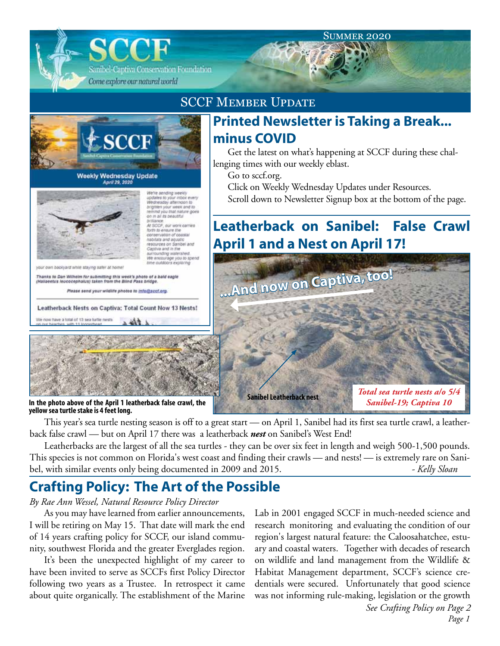#### **SUMMER 2020**

**Leatherback on Sanibel: False Crawl** 

Scroll down to Newsletter Signup box at the bottom of the page.

Get the latest on what's happening at SCCF during these chal-

**Printed Newsletter is Taking a Break...**

Click on Weekly Wednesday Updates under Resources.

**April 1 and a Nest on April 17!**

**...And now on Captiva, too!**

Sanibel-Captiva Conservation Foundation Come explore our natural world

### SCCF Member Update

**minus COVID**

Go to sccf.org.

lenging times with our weekly eblast.



April 29, 2020



We're aending weekly<br>updates to your inbox every<br>Wednesday afternoon to<br>brighten your week and to<br>temind you that nature goes in that the beautiful prillance.<br>At SCCF, our work carries<br>form to ensure the form to ensure the<br>conservation of coastal<br>nabilats and aguatic escurces on Sanibel and Captiva and in the ounding waterailed

We encourage you to sp.<br>time outdoors exploring

own bookyard while staying safer at home

We now have a total of 13 sea turtle nests

Thanks to Dan Wilhelm for submitting this week's photo of a bald eagle<br>(Hallaeetus leucocephalus) taken from the Bilnd Pass bridge.

Please send your wildlife photos to info@sccf.org

Leatherback Nests on Captiva: Total Count Now 13 Nests!



**In the photo above of the April 1 leatherback false crawl, the yellow sea turtle stake is 4 feet long.**

This year's sea turtle nesting season is off to a great start — on April 1, Sanibel had its first sea turtle crawl, a leatherback false crawl — but on April 17 there was a leatherback *nest* on Sanibel's West End!

**Sanibel Leatherback nest**

Leatherbacks are the largest of all the sea turtles - they can be over six feet in length and weigh 500-1,500 pounds. This species is not common on Florida's west coast and finding their crawls — and nests! — is extremely rare on Sanibel, with similar events only being documented in 2009 and 2015. *- Kelly Sloan*

## **Crafting Policy: The Art of the Possible**

#### *By Rae Ann Wessel, Natural Resource Policy Director*

As you may have learned from earlier announcements, I will be retiring on May 15. That date will mark the end of 14 years crafting policy for SCCF, our island community, southwest Florida and the greater Everglades region.

It's been the unexpected highlight of my career to have been invited to serve as SCCFs first Policy Director following two years as a Trustee. In retrospect it came about quite organically. The establishment of the Marine

Lab in 2001 engaged SCCF in much-needed science and research monitoring and evaluating the condition of our region's largest natural feature: the Caloosahatchee, estuary and coastal waters. Together with decades of research on wildlife and land management from the Wildlife & Habitat Management department, SCCF's science credentials were secured. Unfortunately that good science was not informing rule-making, legislation or the growth

*Total sea turtle nests a/o 5/4 Sanibel-19; Captiva 10*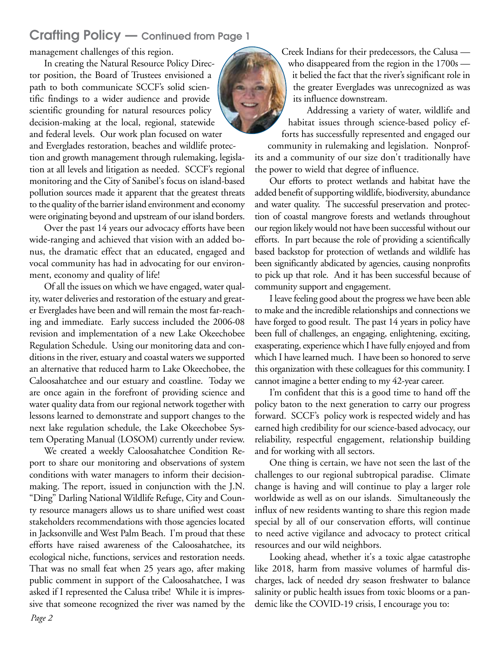### Crafting Policy — Continued from Page 1

management challenges of this region.

In creating the Natural Resource Policy Director position, the Board of Trustees envisioned a path to both communicate SCCF's solid scientific findings to a wider audience and provide scientific grounding for natural resources policy decision-making at the local, regional, statewide and federal levels. Our work plan focused on water and Everglades restoration, beaches and wildlife protection and growth management through rulemaking, legislation at all levels and litigation as needed. SCCF's regional monitoring and the City of Sanibel's focus on island-based pollution sources made it apparent that the greatest threats to the quality of the barrier island environment and economy were originating beyond and upstream of our island borders.

Over the past 14 years our advocacy efforts have been wide-ranging and achieved that vision with an added bonus, the dramatic effect that an educated, engaged and vocal community has had in advocating for our environment, economy and quality of life!

Of all the issues on which we have engaged, water quality, water deliveries and restoration of the estuary and greater Everglades have been and will remain the most far-reaching and immediate. Early success included the 2006-08 revision and implementation of a new Lake Okeechobee Regulation Schedule. Using our monitoring data and conditions in the river, estuary and coastal waters we supported an alternative that reduced harm to Lake Okeechobee, the Caloosahatchee and our estuary and coastline. Today we are once again in the forefront of providing science and water quality data from our regional network together with lessons learned to demonstrate and support changes to the next lake regulation schedule, the Lake Okeechobee System Operating Manual (LOSOM) currently under review.

We created a weekly Caloosahatchee Condition Report to share our monitoring and observations of system conditions with water managers to inform their decisionmaking. The report, issued in conjunction with the J.N. "Ding" Darling National Wildlife Refuge, City and County resource managers allows us to share unified west coast stakeholders recommendations with those agencies located in Jacksonville and West Palm Beach. I'm proud that these efforts have raised awareness of the Caloosahatchee, its ecological niche, functions, services and restoration needs. That was no small feat when 25 years ago, after making public comment in support of the Caloosahatchee, I was asked if I represented the Calusa tribe! While it is impressive that someone recognized the river was named by the Creek Indians for their predecessors, the Calusa who disappeared from the region in the 1700s it belied the fact that the river's significant role in the greater Everglades was unrecognized as was its influence downstream.

Addressing a variety of water, wildlife and habitat issues through science-based policy efforts has successfully represented and engaged our community in rulemaking and legislation. Nonprofits and a community of our size don't traditionally have the power to wield that degree of influence.

Our efforts to protect wetlands and habitat have the added benefit of supporting wildlife, biodiversity, abundance and water quality. The successful preservation and protection of coastal mangrove forests and wetlands throughout our region likely would not have been successful without our efforts. In part because the role of providing a scientifically based backstop for protection of wetlands and wildlife has been significantly abdicated by agencies, causing nonprofits to pick up that role. And it has been successful because of community support and engagement.

I leave feeling good about the progress we have been able to make and the incredible relationships and connections we have forged to good result. The past 14 years in policy have been full of challenges, an engaging, enlightening, exciting, exasperating, experience which I have fully enjoyed and from which I have learned much. I have been so honored to serve this organization with these colleagues for this community. I cannot imagine a better ending to my 42-year career.

I'm confident that this is a good time to hand off the policy baton to the next generation to carry our progress forward. SCCF's policy work is respected widely and has earned high credibility for our science-based advocacy, our reliability, respectful engagement, relationship building and for working with all sectors.

One thing is certain, we have not seen the last of the challenges to our regional subtropical paradise. Climate change is having and will continue to play a larger role worldwide as well as on our islands. Simultaneously the influx of new residents wanting to share this region made special by all of our conservation efforts, will continue to need active vigilance and advocacy to protect critical resources and our wild neighbors.

Looking ahead, whether it's a toxic algae catastrophe like 2018, harm from massive volumes of harmful discharges, lack of needed dry season freshwater to balance salinity or public health issues from toxic blooms or a pandemic like the COVID-19 crisis, I encourage you to: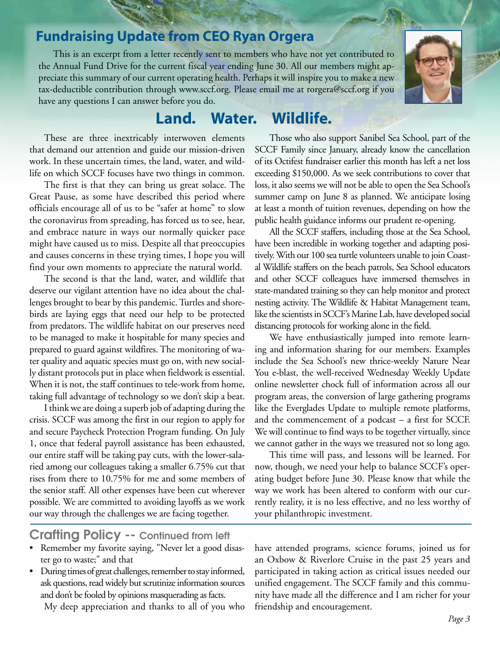# **Fundraising Update from CEO Ryan Orgera**

This is an excerpt from a letter recently sent to members who have not yet contributed to the Annual Fund Drive for the current fiscal year ending June 30. All our members might appreciate this summary of our current operating health. Perhaps it will inspire you to make a new tax-deductible contribution through www.sccf.org. Please email me at rorgera@sccf.org if you have any questions I can answer before you do.

## **Land. Water. Wildlife.**

These are three inextricably interwoven elements that demand our attention and guide our mission-driven work. In these uncertain times, the land, water, and wildlife on which SCCF focuses have two things in common.

The first is that they can bring us great solace. The Great Pause, as some have described this period where officials encourage all of us to be "safer at home" to slow the coronavirus from spreading, has forced us to see, hear, and embrace nature in ways our normally quicker pace might have caused us to miss. Despite all that preoccupies and causes concerns in these trying times, I hope you will find your own moments to appreciate the natural world.

The second is that the land, water, and wildlife that deserve our vigilant attention have no idea about the challenges brought to bear by this pandemic. Turtles and shorebirds are laying eggs that need our help to be protected from predators. The wildlife habitat on our preserves need to be managed to make it hospitable for many species and prepared to guard against wildfires. The monitoring of water quality and aquatic species must go on, with new socially distant protocols put in place when fieldwork is essential. When it is not, the staff continues to tele-work from home, taking full advantage of technology so we don't skip a beat.

I think we are doing a superb job of adapting during the crisis. SCCF was among the first in our region to apply for and secure Paycheck Protection Program funding. On July 1, once that federal payroll assistance has been exhausted, our entire staff will be taking pay cuts, with the lower-salaried among our colleagues taking a smaller 6.75% cut that rises from there to 10.75% for me and some members of the senior staff. All other expenses have been cut wherever possible. We are committed to avoiding layoffs as we work our way through the challenges we are facing together.

### Crafting Policy -- Continued from left

- Remember my favorite saying, "Never let a good disaster go to waste;" and that
- During times of great challenges, remember to stay informed, ask questions, read widely but scrutinize information sources and don't be fooled by opinions masquerading as facts.

My deep appreciation and thanks to all of you who

Those who also support Sanibel Sea School, part of the SCCF Family since January, already know the cancellation of its Octifest fundraiser earlier this month has left a net loss exceeding \$150,000. As we seek contributions to cover that loss, it also seems we will not be able to open the Sea School's summer camp on June 8 as planned. We anticipate losing at least a month of tuition revenues, depending on how the public health guidance informs our prudent re-opening.

All the SCCF staffers, including those at the Sea School, have been incredible in working together and adapting positively. With our 100 sea turtle volunteers unable to join Coastal Wildlife staffers on the beach patrols, Sea School educators and other SCCF colleagues have immersed themselves in state-mandated training so they can help monitor and protect nesting activity. The Wildlife & Habitat Management team, like the scientists in SCCF's Marine Lab, have developed social distancing protocols for working alone in the field.

We have enthusiastically jumped into remote learning and information sharing for our members. Examples include the Sea School's new thrice-weekly Nature Near You e-blast, the well-received Wednesday Weekly Update online newsletter chock full of information across all our program areas, the conversion of large gathering programs like the Everglades Update to multiple remote platforms, and the commencement of a podcast – a first for SCCF. We will continue to find ways to be together virtually, since we cannot gather in the ways we treasured not so long ago.

This time will pass, and lessons will be learned. For now, though, we need your help to balance SCCF's operating budget before June 30. Please know that while the way we work has been altered to conform with our currently reality, it is no less effective, and no less worthy of your philanthropic investment.

have attended programs, science forums, joined us for an Oxbow & Riverlore Cruise in the past 25 years and participated in taking action as critical issues needed our unified engagement. The SCCF family and this community have made all the difference and I am richer for your friendship and encouragement.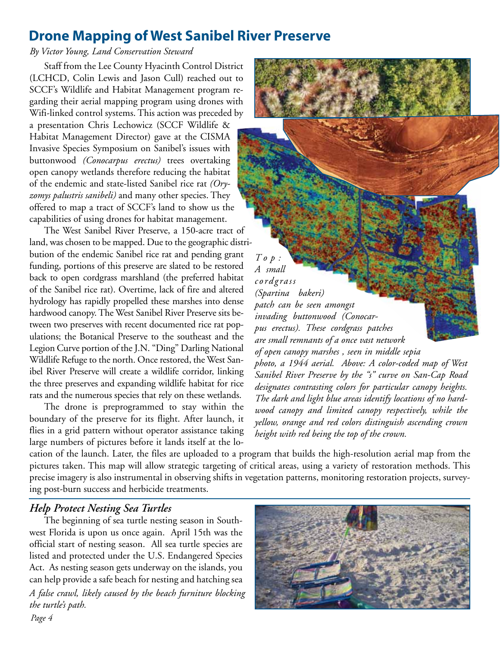## **Drone Mapping of West Sanibel River Preserve**

#### *By Victor Young, Land Conservation Steward*

Staff from the Lee County Hyacinth Control District (LCHCD, Colin Lewis and Jason Cull) reached out to SCCF's Wildlife and Habitat Management program regarding their aerial mapping program using drones with Wifi-linked control systems. This action was preceded by a presentation Chris Lechowicz (SCCF Wildlife & Habitat Management Director) gave at the CISMA Invasive Species Symposium on Sanibel's issues with buttonwood *(Conocarpus erectus)* trees overtaking open canopy wetlands therefore reducing the habitat of the endemic and state-listed Sanibel rice rat *(Oryzomys palustris sanibeli)* and many other species. They offered to map a tract of SCCF's land to show us the capabilities of using drones for habitat management.

The West Sanibel River Preserve, a 150-acre tract of land, was chosen to be mapped. Due to the geographic distribution of the endemic Sanibel rice rat and pending grant funding, portions of this preserve are slated to be restored back to open cordgrass marshland (the preferred habitat of the Sanibel rice rat). Overtime, lack of fire and altered hydrology has rapidly propelled these marshes into dense hardwood canopy. The West Sanibel River Preserve sits between two preserves with recent documented rice rat populations; the Botanical Preserve to the southeast and the Legion Curve portion of the J.N. "Ding" Darling National Wildlife Refuge to the north. Once restored, the West Sanibel River Preserve will create a wildlife corridor, linking the three preserves and expanding wildlife habitat for rice rats and the numerous species that rely on these wetlands.

The drone is preprogrammed to stay within the boundary of the preserve for its flight. After launch, it flies in a grid pattern without operator assistance taking large numbers of pictures before it lands itself at the lo-

*T o p : A small cordgrass (Spartina bakeri) patch can be seen amongst invading buttonwood (Conocarpus erectus). These cordgrass patches are small remnants of a once vast network of open canopy marshes , seen in middle sepia photo, a 1944 aerial. Above: A color-coded map of West Sanibel River Preserve by the "s" curve on San-Cap Road designates contrasting colors for particular canopy heights. The dark and light blue areas identify locations of no hardwood canopy and limited canopy respectively, while the yellow, orange and red colors distinguish ascending crown height with red being the top of the crown.*

cation of the launch. Later, the files are uploaded to a program that builds the high-resolution aerial map from the pictures taken. This map will allow strategic targeting of critical areas, using a variety of restoration methods. This precise imagery is also instrumental in observing shifts in vegetation patterns, monitoring restoration projects, surveying post-burn success and herbicide treatments.

### *Help Protect Nesting Sea Turtles*

The beginning of sea turtle nesting season in Southwest Florida is upon us once again. April 15th was the official start of nesting season. All sea turtle species are listed and protected under the U.S. Endangered Species Act. As nesting season gets underway on the islands, you can help provide a safe beach for nesting and hatching sea *A false crawl, likely caused by the beach furniture blocking the turtle's path.*

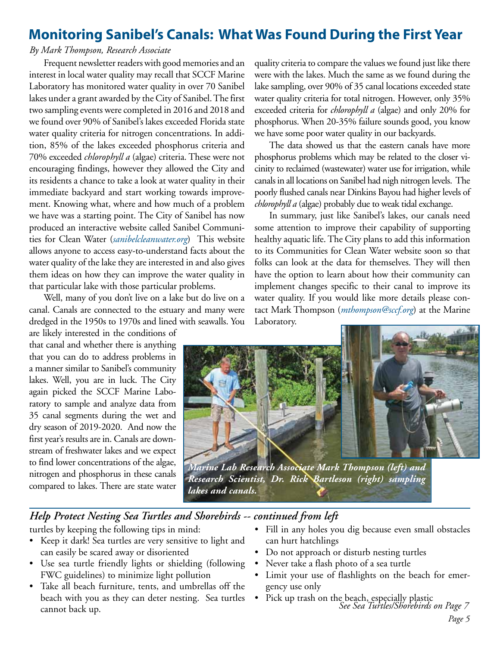## **Monitoring Sanibel's Canals: What Was Found During the First Year**

#### *By Mark Thompson, Research Associate*

Frequent newsletter readers with good memories and an interest in local water quality may recall that SCCF Marine Laboratory has monitored water quality in over 70 Sanibel lakes under a grant awarded by the City of Sanibel. The first two sampling events were completed in 2016 and 2018 and we found over 90% of Sanibel's lakes exceeded Florida state water quality criteria for nitrogen concentrations. In addition, 85% of the lakes exceeded phosphorus criteria and 70% exceeded *chlorophyll a* (algae) criteria. These were not encouraging findings, however they allowed the City and its residents a chance to take a look at water quality in their immediate backyard and start working towards improvement. Knowing what, where and how much of a problem we have was a starting point. The City of Sanibel has now produced an interactive website called Sanibel Communities for Clean Water (*sanibelcleanwater.org*) This website allows anyone to access easy-to-understand facts about the water quality of the lake they are interested in and also gives them ideas on how they can improve the water quality in that particular lake with those particular problems.

Well, many of you don't live on a lake but do live on a canal. Canals are connected to the estuary and many were dredged in the 1950s to 1970s and lined with seawalls. You

are likely interested in the conditions of that canal and whether there is anything that you can do to address problems in a manner similar to Sanibel's community lakes. Well, you are in luck. The City again picked the SCCF Marine Laboratory to sample and analyze data from 35 canal segments during the wet and dry season of 2019-2020. And now the first year's results are in. Canals are downstream of freshwater lakes and we expect to find lower concentrations of the algae, nitrogen and phosphorus in these canals compared to lakes. There are state water

quality criteria to compare the values we found just like there were with the lakes. Much the same as we found during the lake sampling, over 90% of 35 canal locations exceeded state water quality criteria for total nitrogen. However, only 35% exceeded criteria for *chlorophyll a* (algae) and only 20% for phosphorus. When 20-35% failure sounds good, you know we have some poor water quality in our backyards.

The data showed us that the eastern canals have more phosphorus problems which may be related to the closer vicinity to reclaimed (wastewater) water use for irrigation, while canals in all locations on Sanibel had nigh nitrogen levels. The poorly flushed canals near Dinkins Bayou had higher levels of *chlorophyll a* (algae) probably due to weak tidal exchange.

In summary, just like Sanibel's lakes, our canals need some attention to improve their capability of supporting healthy aquatic life. The City plans to add this information to its Communities for Clean Water website soon so that folks can look at the data for themselves. They will then have the option to learn about how their community can implement changes specific to their canal to improve its water quality. If you would like more details please contact Mark Thompson (*mthompson@sccf.org*) at the Marine Laboratory.



*Marine Lab Research Associate Mark Thompson (left) and Research Scientist, Dr. Rick Bartleson (right) sampling lakes and canals.*

### *Help Protect Nesting Sea Turtles and Shorebirds -- continued from left*

turtles by keeping the following tips in mind:

- Keep it dark! Sea turtles are very sensitive to light and can easily be scared away or disoriented
- • Use sea turtle friendly lights or shielding (following FWC guidelines) to minimize light pollution
- Take all beach furniture, tents, and umbrellas off the beach with you as they can deter nesting. Sea turtles cannot back up.
- Fill in any holes you dig because even small obstacles can hurt hatchlings
- Do not approach or disturb nesting turtles
- Never take a flash photo of a sea turtle
- • Limit your use of flashlights on the beach for emergency use only
- *See Sea Turtles/Shorebirds on Page 7* • Pick up trash on the beach, especially plastic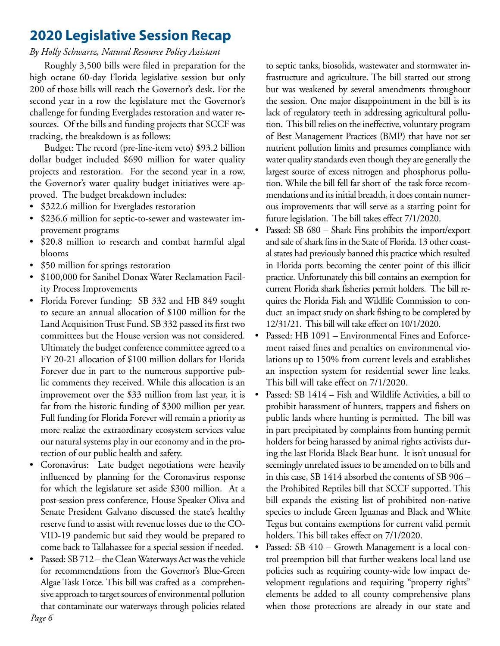## **2020 Legislative Session Recap**

### *By Holly Schwartz, Natural Resource Policy Assistant*

Roughly 3,500 bills were filed in preparation for the high octane 60-day Florida legislative session but only 200 of those bills will reach the Governor's desk. For the second year in a row the legislature met the Governor's challenge for funding Everglades restoration and water resources. Of the bills and funding projects that SCCF was tracking, the breakdown is as follows:

Budget: The record (pre-line-item veto) \$93.2 billion dollar budget included \$690 million for water quality projects and restoration. For the second year in a row, the Governor's water quality budget initiatives were approved. The budget breakdown includes:

- \$322.6 million for Everglades restoration
- \$236.6 million for septic-to-sewer and wastewater improvement programs
- • \$20.8 million to research and combat harmful algal blooms
- \$50 million for springs restoration
- \$100,000 for Sanibel Donax Water Reclamation Facility Process Improvements
- Florida Forever funding: SB 332 and HB 849 sought to secure an annual allocation of \$100 million for the Land Acquisition Trust Fund. SB 332 passed its first two committees but the House version was not considered. Ultimately the budget conference committee agreed to a FY 20-21 allocation of \$100 million dollars for Florida Forever due in part to the numerous supportive public comments they received. While this allocation is an improvement over the \$33 million from last year, it is far from the historic funding of \$300 million per year. Full funding for Florida Forever will remain a priority as more realize the extraordinary ecosystem services value our natural systems play in our economy and in the protection of our public health and safety.
- • Coronavirus: Late budget negotiations were heavily influenced by planning for the Coronavirus response for which the legislature set aside \$300 million. At a post-session press conference, House Speaker Oliva and Senate President Galvano discussed the state's healthy reserve fund to assist with revenue losses due to the CO-VID-19 pandemic but said they would be prepared to come back to Tallahassee for a special session if needed.
- Passed: SB 712 the Clean Waterways Act was the vehicle for recommendations from the Governor's Blue-Green Algae Task Force. This bill was crafted as a comprehensive approach to target sources of environmental pollution that contaminate our waterways through policies related

to septic tanks, biosolids, wastewater and stormwater infrastructure and agriculture. The bill started out strong but was weakened by several amendments throughout the session. One major disappointment in the bill is its lack of regulatory teeth in addressing agricultural pollution. This bill relies on the ineffective, voluntary program of Best Management Practices (BMP) that have not set nutrient pollution limits and presumes compliance with water quality standards even though they are generally the largest source of excess nitrogen and phosphorus pollution. While the bill fell far short of the task force recommendations and its initial breadth, it does contain numerous improvements that will serve as a starting point for future legislation. The bill takes effect 7/1/2020.

- Passed: SB 680 Shark Fins prohibits the import/export and sale of shark fins in the State of Florida. 13 other coastal states had previously banned this practice which resulted in Florida ports becoming the center point of this illicit practice. Unfortunately this bill contains an exemption for current Florida shark fisheries permit holders. The bill requires the Florida Fish and Wildlife Commission to conduct an impact study on shark fishing to be completed by 12/31/21. This bill will take effect on 10/1/2020.
- Passed: HB 1091 Environmental Fines and Enforcement raised fines and penalties on environmental violations up to 150% from current levels and establishes an inspection system for residential sewer line leaks. This bill will take effect on 7/1/2020.
- Passed: SB 1414 Fish and Wildlife Activities, a bill to prohibit harassment of hunters, trappers and fishers on public lands where hunting is permitted. The bill was in part precipitated by complaints from hunting permit holders for being harassed by animal rights activists during the last Florida Black Bear hunt. It isn't unusual for seemingly unrelated issues to be amended on to bills and in this case, SB 1414 absorbed the contents of SB 906 – the Prohibited Reptiles bill that SCCF supported. This bill expands the existing list of prohibited non-native species to include Green Iguanas and Black and White Tegus but contains exemptions for current valid permit holders. This bill takes effect on 7/1/2020.
- Passed: SB 410 Growth Management is a local control preemption bill that further weakens local land use policies such as requiring county-wide low impact development regulations and requiring "property rights" elements be added to all county comprehensive plans when those protections are already in our state and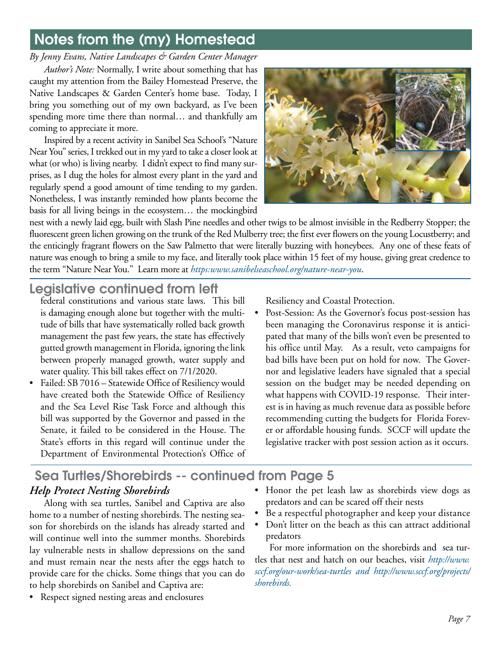# Notes from the (my) Homestead

*By Jenny Evans, Native Landscapes & Garden Center Manager*

*Author's Note:* Normally, I write about something that has caught my attention from the Bailey Homestead Preserve, the Native Landscapes & Garden Center's home base. Today, I bring you something out of my own backyard, as I've been spending more time there than normal… and thankfully am coming to appreciate it more.

Inspired by a recent activity in Sanibel Sea School's "Nature Near You" series, I trekked out in my yard to take a closer look at what (or who) is living nearby. I didn't expect to find many surprises, as I dug the holes for almost every plant in the yard and regularly spend a good amount of time tending to my garden. Nonetheless, I was instantly reminded how plants become the basis for all living beings in the ecosystem… the mockingbird



nest with a newly laid egg, built with Slash Pine needles and other twigs to be almost invisible in the Redberry Stopper; the fluorescent green lichen growing on the trunk of the Red Mulberry tree; the first ever flowers on the young Locustberry; and the enticingly fragrant flowers on the Saw Palmetto that were literally buzzing with honeybees. Any one of these feats of nature was enough to bring a smile to my face, and literally took place within 15 feet of my house, giving great credence to the term "Nature Near You." Learn more at *https:www.sanibelseaschool.org/nature-near-you*.

## Legislative continued from left

federal constitutions and various state laws. This bill is damaging enough alone but together with the multitude of bills that have systematically rolled back growth management the past few years, the state has effectively gutted growth management in Florida, ignoring the link between properly managed growth, water supply and water quality. This bill takes effect on 7/1/2020.

• Failed: SB 7016 – Statewide Office of Resiliency would have created both the Statewide Office of Resiliency and the Sea Level Rise Task Force and although this bill was supported by the Governor and passed in the Senate, it failed to be considered in the House. The State's efforts in this regard will continue under the Department of Environmental Protection's Office of Resiliency and Coastal Protection.

Post-Session: As the Governor's focus post-session has been managing the Coronavirus response it is anticipated that many of the bills won't even be presented to his office until May. As a result, veto campaigns for bad bills have been put on hold for now. The Governor and legislative leaders have signaled that a special session on the budget may be needed depending on what happens with COVID-19 response. Their interest is in having as much revenue data as possible before recommending cutting the budgets for Florida Forever or affordable housing funds. SCCF will update the legislative tracker with post session action as it occurs.

## Sea Turtles/Shorebirds -- continued from Page 5 *Help Protect Nesting Shorebirds*

Along with sea turtles, Sanibel and Captiva are also home to a number of nesting shorebirds. The nesting season for shorebirds on the islands has already started and will continue well into the summer months. Shorebirds lay vulnerable nests in shallow depressions on the sand and must remain near the nests after the eggs hatch to provide care for the chicks. Some things that you can do to help shorebirds on Sanibel and Captiva are:

• Respect signed nesting areas and enclosures

- Honor the pet leash law as shorebirds view dogs as predators and can be scared off their nests
- Be a respectful photographer and keep your distance
- Don't litter on the beach as this can attract additional predators

For more information on the shorebirds and sea turtles that nest and hatch on our beaches, visit *http://www. sccf.org/our-work/sea-turtles and http://www.sccf.org/projects/ shorebirds.*